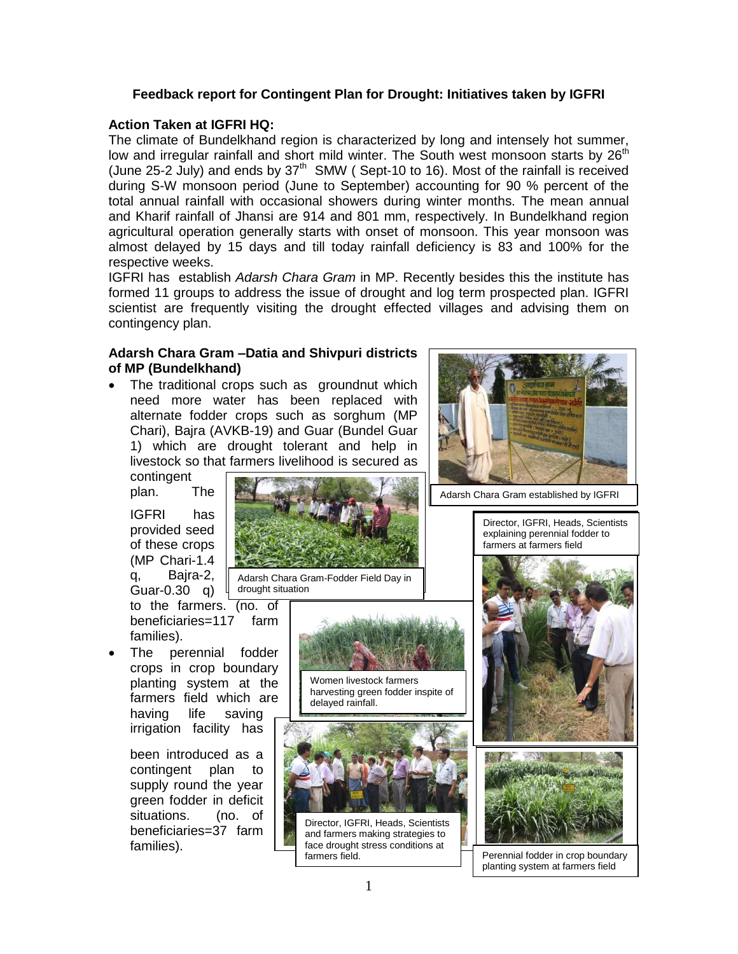# **Feedback report for Contingent Plan for Drought: Initiatives taken by IGFRI**

# **Action Taken at IGFRI HQ:**

The climate of Bundelkhand region is characterized by long and intensely hot summer, low and irregular rainfall and short mild winter. The South west monsoon starts by  $26<sup>th</sup>$ (June 25-2 July) and ends by  $37<sup>th</sup>$  SMW (Sept-10 to 16). Most of the rainfall is received during S-W monsoon period (June to September) accounting for 90 % percent of the total annual rainfall with occasional showers during winter months. The mean annual and Kharif rainfall of Jhansi are 914 and 801 mm, respectively. In Bundelkhand region agricultural operation generally starts with onset of monsoon. This year monsoon was almost delayed by 15 days and till today rainfall deficiency is 83 and 100% for the respective weeks.

IGFRI has establish *Adarsh Chara Gram* in MP. Recently besides this the institute has formed 11 groups to address the issue of drought and log term prospected plan. IGFRI scientist are frequently visiting the drought effected villages and advising them on contingency plan.

# **Adarsh Chara Gram –Datia and Shivpuri districts of MP (Bundelkhand)**

 The traditional crops such as groundnut which need more water has been replaced with alternate fodder crops such as sorghum (MP Chari), Bajra (AVKB-19) and Guar (Bundel Guar 1) which are drought tolerant and help in livestock so that farmers livelihood is secured as

contingent plan. The

IGFRI has provided seed of these crops (MP Chari-1.4 q, Bajra-2, Guar-0.30 q)

to the farmers. (no. of beneficiaries=117 farm families).

 The perennial fodder crops in crop boundary planting system at the farmers field which are having life saving irrigation facility has

> been introduced as a contingent plan to supply round the year green fodder in deficit situations. (no. of beneficiaries=37 farm families).



Adarsh Chara Gram-Fodder Field Day in drought situation



Women livestock farmers harvesting green fodder inspite of delayed rainfall.



Director, IGFRI, Heads, Scientists and farmers making strategies to face drought stress conditions at<br>farmers field



Adarsh Chara Gram established by IGFRI

Director, IGFRI, Heads, Scientists explaining perennial fodder to farmers at farmers field





Perennial fodder in crop boundary planting system at farmers field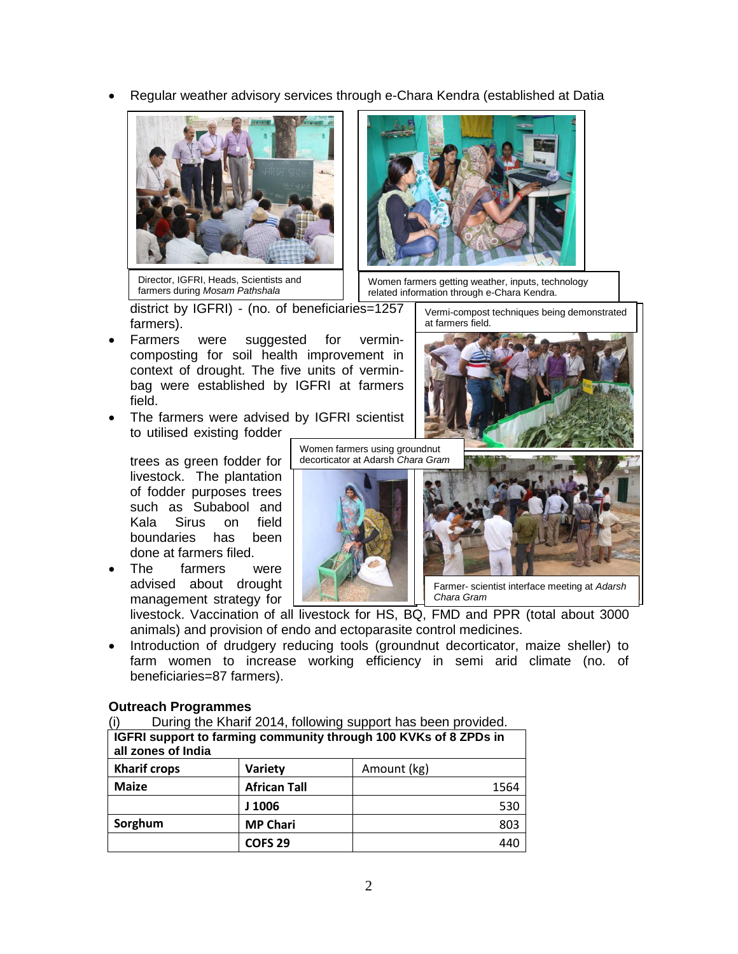Regular weather advisory services through e-Chara Kendra (established at Datia



Director, IGFRI, Heads, Scientists and farmers during *Mosam Pathshala*



Women farmers getting weather, inputs, technology related information through e-Chara Kendra.

district by IGFRI) - (no. of beneficiaries=1257 farmers).

- Farmers were suggested for vermincomposting for soil health improvement in context of drought. The five units of verminbag were established by IGFRI at farmers field.
- The farmers were advised by IGFRI scientist to utilised existing fodder

trees as green fodder for livestock. The plantation of fodder purposes trees such as Subabool and Kala Sirus on field boundaries has been done at farmers filed.

 The farmers were advised about drought management strategy for Women farmers using groundnut decorticator at Adarsh *Chara Gram*



Vermi-compost techniques being demonstrated at farmers field.



Farmer- scientist interface meeting at *Adarsh Chara Gram*

┑

livestock. Vaccination of all livestock for HS, BQ, FMD and PPR (total about 3000 animals) and provision of endo and ectoparasite control medicines.

 Introduction of drudgery reducing tools (groundnut decorticator, maize sheller) to farm women to increase working efficiency in semi arid climate (no. of beneficiaries=87 farmers).

# **Outreach Programmes**

| (i)                                                              | During the Kharif 2014, following support has been provided. |  |  |  |  |
|------------------------------------------------------------------|--------------------------------------------------------------|--|--|--|--|
| IGFRI support to farming community through 100 KVKs of 8 ZPDs in |                                                              |  |  |  |  |

| 101 111 Jappon, to farming Johnnann, an Jagn-190 111113 or J 21 DJ 111<br>all zones of India |                     |             |  |  |
|----------------------------------------------------------------------------------------------|---------------------|-------------|--|--|
| <b>Kharif crops</b>                                                                          | <b>Variety</b>      | Amount (kg) |  |  |
| <b>Maize</b>                                                                                 | <b>African Tall</b> | 1564        |  |  |
|                                                                                              | J 1006              | 530         |  |  |
| Sorghum                                                                                      | <b>MP Chari</b>     | 803         |  |  |
|                                                                                              | <b>COFS 29</b>      | 440         |  |  |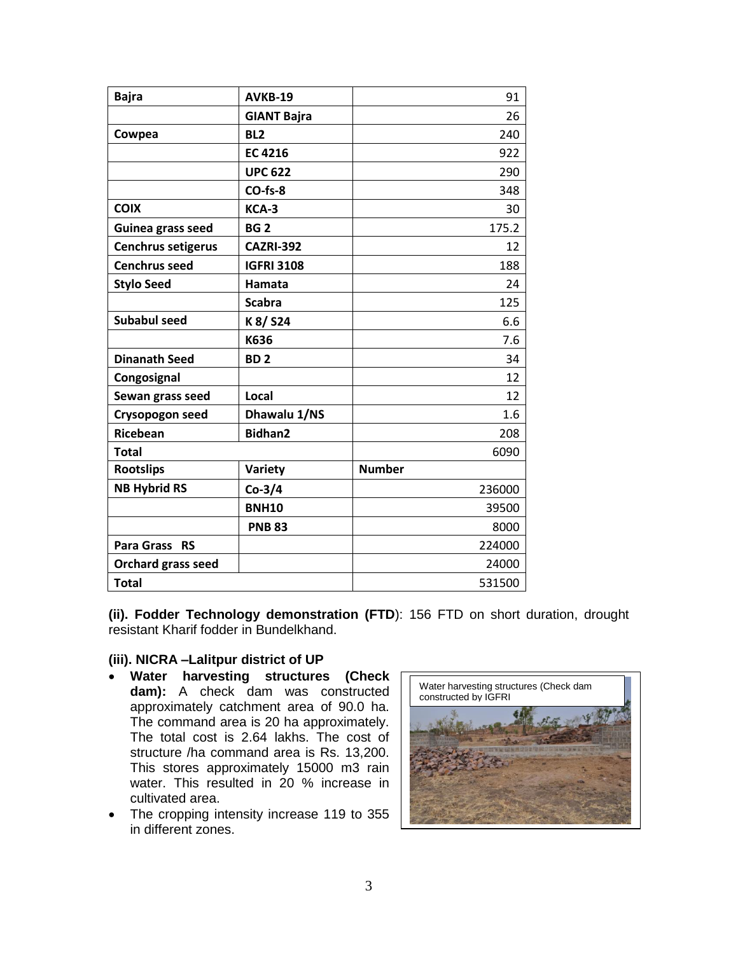| <b>Bajra</b>         | AVKB-19            | 91            |
|----------------------|--------------------|---------------|
|                      | <b>GIANT Bajra</b> | 26            |
| Cowpea               | BL <sub>2</sub>    | 240           |
|                      | <b>EC 4216</b>     | 922           |
|                      | <b>UPC 622</b>     | 290           |
|                      | $CO$ -fs-8         | 348           |
| <b>COIX</b>          | KCA-3              | 30            |
| Guinea grass seed    | <b>BG2</b>         | 175.2         |
| Cenchrus setigerus   | <b>CAZRI-392</b>   | 12            |
| <b>Cenchrus seed</b> | <b>IGFRI 3108</b>  | 188           |
| <b>Stylo Seed</b>    | Hamata             | 24            |
|                      | <b>Scabra</b>      | 125           |
| <b>Subabul seed</b>  | K 8/ S24           | 6.6           |
|                      | K636               | 7.6           |
| <b>Dinanath Seed</b> | BD <sub>2</sub>    | 34            |
| Congosignal          |                    | 12            |
| Sewan grass seed     | Local              | 12            |
| Crysopogon seed      | Dhawalu 1/NS       | 1.6           |
| <b>Ricebean</b>      | <b>Bidhan2</b>     | 208           |
| <b>Total</b>         |                    | 6090          |
| <b>Rootslips</b>     | Variety            | <b>Number</b> |
| <b>NB Hybrid RS</b>  | $Co-3/4$           | 236000        |
|                      | <b>BNH10</b>       | 39500         |
|                      | <b>PNB 83</b>      | 8000          |
| Para Grass RS        |                    | 224000        |
| Orchard grass seed   |                    | 24000         |
| <b>Total</b>         |                    | 531500        |

**(ii). Fodder Technology demonstration (FTD**): 156 FTD on short duration, drought resistant Kharif fodder in Bundelkhand.

### **(iii). NICRA –Lalitpur district of UP**

- **Water harvesting structures (Check dam):** A check dam was constructed approximately catchment area of 90.0 ha. The command area is 20 ha approximately. The total cost is 2.64 lakhs. The cost of structure /ha command area is Rs. 13,200. This stores approximately 15000 m3 rain water. This resulted in 20 % increase in cultivated area.
- The cropping intensity increase 119 to 355 in different zones.

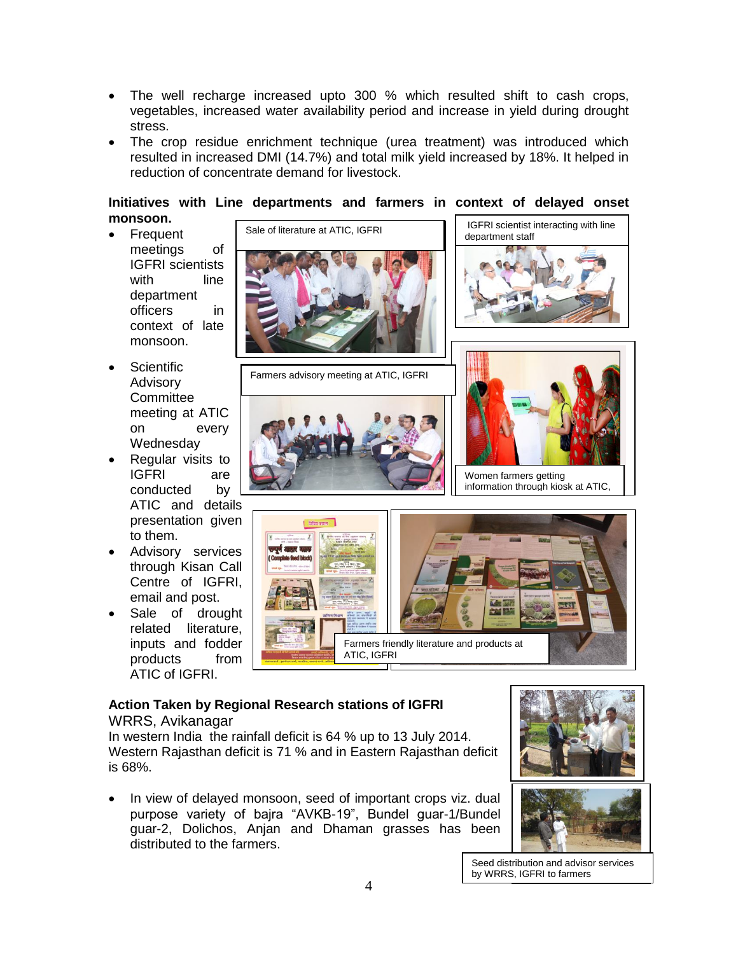- The well recharge increased upto 300 % which resulted shift to cash crops, vegetables, increased water availability period and increase in yield during drought stress.
- The crop residue enrichment technique (urea treatment) was introduced which resulted in increased DMI (14.7%) and total milk yield increased by 18%. It helped in reduction of concentrate demand for livestock.

### **Initiatives with Line departments and farmers in context of delayed onset monsoon.**

- Frequent meetings of IGFRI scientists with line department officers in context of late monsoon.
- Scientific Advisory **Committee** meeting at ATIC on every **Wednesday**
- Regular visits to IGFRI are conducted by ATIC and details presentation given to them.
- Advisory services through Kisan Call Centre of IGFRI, email and post.
- Sale of drought related literature, inputs and fodder products from ATIC of IGFRI.



Farmers advisory meeting at ATIC, IGFRI







Women farmers getting information through kiosk at ATIC,



### **Action Taken by Regional Research stations of IGFRI** WRRS, Avikanagar

In western India the rainfall deficit is 64 % up to 13 July 2014. Western Rajasthan deficit is 71 % and in Eastern Rajasthan deficit is 68%.

 In view of delayed monsoon, seed of important crops viz. dual purpose variety of bajra "AVKB-19", Bundel guar-1/Bundel guar-2, Dolichos, Anjan and Dhaman grasses has been distributed to the farmers.





Seed distribution and advisor services by WRRS, IGFRI to farmers